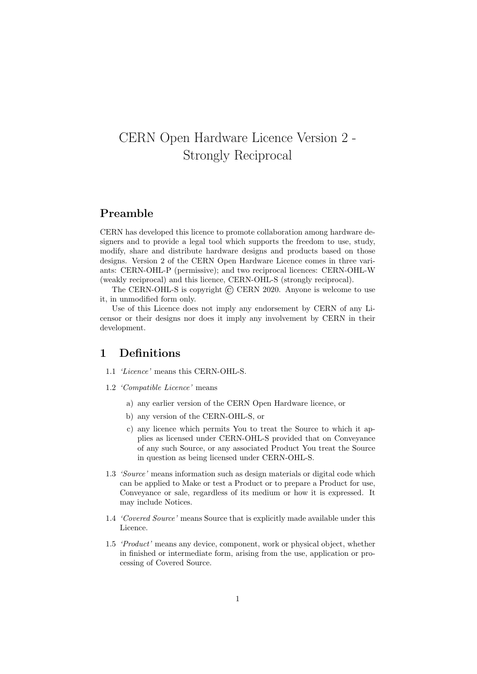# CERN Open Hardware Licence Version 2 - Strongly Reciprocal

## Preamble

CERN has developed this licence to promote collaboration among hardware designers and to provide a legal tool which supports the freedom to use, study, modify, share and distribute hardware designs and products based on those designs. Version 2 of the CERN Open Hardware Licence comes in three variants: CERN-OHL-P (permissive); and two reciprocal licences: CERN-OHL-W (weakly reciprocal) and this licence, CERN-OHL-S (strongly reciprocal).

The CERN-OHL-S is copyright  $\odot$  CERN 2020. Anyone is welcome to use it, in unmodified form only.

Use of this Licence does not imply any endorsement by CERN of any Licensor or their designs nor does it imply any involvement by CERN in their development.

#### 1 Definitions

- 1.1 'Licence' means this CERN-OHL-S.
- 1.2 'Compatible Licence' means
	- a) any earlier version of the CERN Open Hardware licence, or
	- b) any version of the CERN-OHL-S, or
	- c) any licence which permits You to treat the Source to which it applies as licensed under CERN-OHL-S provided that on Conveyance of any such Source, or any associated Product You treat the Source in question as being licensed under CERN-OHL-S.
- 1.3 'Source' means information such as design materials or digital code which can be applied to Make or test a Product or to prepare a Product for use, Conveyance or sale, regardless of its medium or how it is expressed. It may include Notices.
- 1.4 'Covered Source' means Source that is explicitly made available under this Licence.
- 1.5 'Product' means any device, component, work or physical object, whether in finished or intermediate form, arising from the use, application or processing of Covered Source.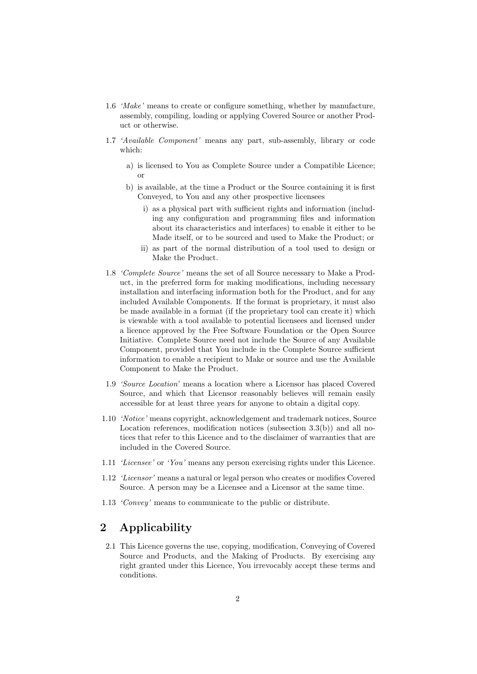- 1.6 'Make' means to create or configure something, whether by manufacture, assembly, compiling, loading or applying Covered Source or another Product or otherwise.
- 1.7 'Available Component' means any part, sub-assembly, library or code which:
	- a) is licensed to You as Complete Source under a Compatible Licence; or
	- b) is available, at the time a Product or the Source containing it is first Conveyed, to You and any other prospective licensees
		- i) as a physical part with sufficient rights and information (including any configuration and programming files and information about its characteristics and interfaces) to enable it either to be Made itself, or to be sourced and used to Make the Product; or
		- ii) as part of the normal distribution of a tool used to design or Make the Product.
- 1.8 'Complete Source' means the set of all Source necessary to Make a Product, in the preferred form for making modifications, including necessary installation and interfacing information both for the Product, and for any included Available Components. If the format is proprietary, it must also be made available in a format (if the proprietary tool can create it) which is viewable with a tool available to potential licensees and licensed under a licence approved by the Free Software Foundation or the Open Source Initiative. Complete Source need not include the Source of any Available Component, provided that You include in the Complete Source sufficient information to enable a recipient to Make or source and use the Available Component to Make the Product.
- 1.9 'Source Location' means a location where a Licensor has placed Covered Source, and which that Licensor reasonably believes will remain easily accessible for at least three years for anyone to obtain a digital copy.
- 1.10 'Notice' means copyright, acknowledgement and trademark notices, Source Location references, modification notices (subsection 3.3(b)) and all notices that refer to this Licence and to the disclaimer of warranties that are included in the Covered Source.
- 1.11 'Licensee' or 'You' means any person exercising rights under this Licence.
- 1.12 'Licensor' means a natural or legal person who creates or modifies Covered Source. A person may be a Licensee and a Licensor at the same time.
- 1.13 'Convey' means to communicate to the public or distribute.

## 2 Applicability

2.1 This Licence governs the use, copying, modification, Conveying of Covered Source and Products, and the Making of Products. By exercising any right granted under this Licence, You irrevocably accept these terms and conditions.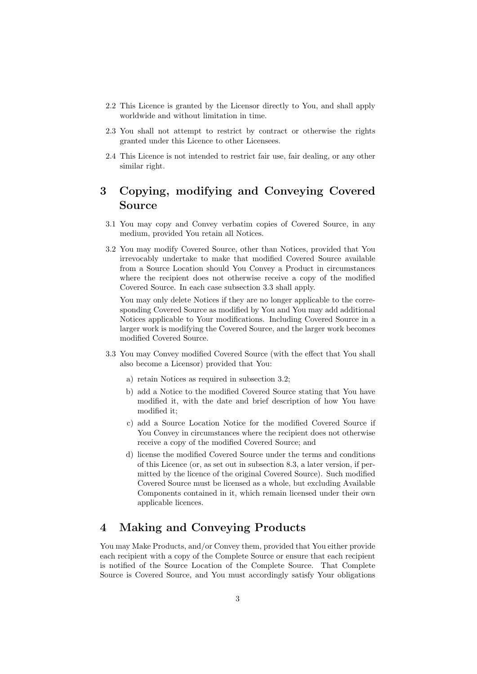- 2.2 This Licence is granted by the Licensor directly to You, and shall apply worldwide and without limitation in time.
- 2.3 You shall not attempt to restrict by contract or otherwise the rights granted under this Licence to other Licensees.
- 2.4 This Licence is not intended to restrict fair use, fair dealing, or any other similar right.

## 3 Copying, modifying and Conveying Covered Source

- 3.1 You may copy and Convey verbatim copies of Covered Source, in any medium, provided You retain all Notices.
- 3.2 You may modify Covered Source, other than Notices, provided that You irrevocably undertake to make that modified Covered Source available from a Source Location should You Convey a Product in circumstances where the recipient does not otherwise receive a copy of the modified Covered Source. In each case subsection 3.3 shall apply.

You may only delete Notices if they are no longer applicable to the corresponding Covered Source as modified by You and You may add additional Notices applicable to Your modifications. Including Covered Source in a larger work is modifying the Covered Source, and the larger work becomes modified Covered Source.

- 3.3 You may Convey modified Covered Source (with the effect that You shall also become a Licensor) provided that You:
	- a) retain Notices as required in subsection 3.2;
	- b) add a Notice to the modified Covered Source stating that You have modified it, with the date and brief description of how You have modified it;
	- c) add a Source Location Notice for the modified Covered Source if You Convey in circumstances where the recipient does not otherwise receive a copy of the modified Covered Source; and
	- d) license the modified Covered Source under the terms and conditions of this Licence (or, as set out in subsection 8.3, a later version, if permitted by the licence of the original Covered Source). Such modified Covered Source must be licensed as a whole, but excluding Available Components contained in it, which remain licensed under their own applicable licences.

## 4 Making and Conveying Products

You may Make Products, and/or Convey them, provided that You either provide each recipient with a copy of the Complete Source or ensure that each recipient is notified of the Source Location of the Complete Source. That Complete Source is Covered Source, and You must accordingly satisfy Your obligations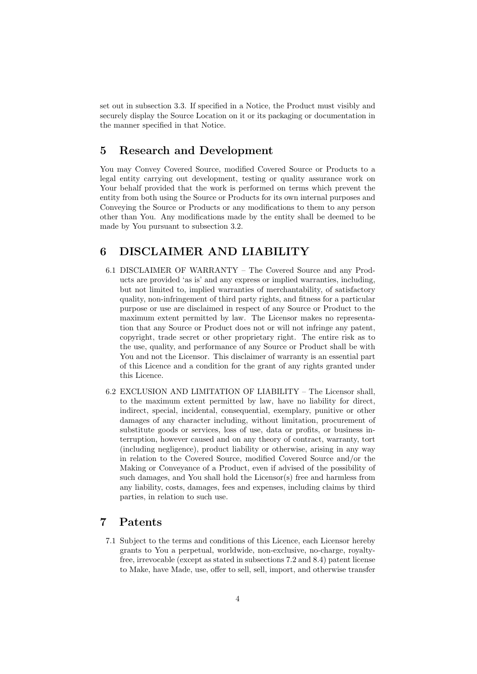set out in subsection 3.3. If specified in a Notice, the Product must visibly and securely display the Source Location on it or its packaging or documentation in the manner specified in that Notice.

### 5 Research and Development

You may Convey Covered Source, modified Covered Source or Products to a legal entity carrying out development, testing or quality assurance work on Your behalf provided that the work is performed on terms which prevent the entity from both using the Source or Products for its own internal purposes and Conveying the Source or Products or any modifications to them to any person other than You. Any modifications made by the entity shall be deemed to be made by You pursuant to subsection 3.2.

## 6 DISCLAIMER AND LIABILITY

- 6.1 DISCLAIMER OF WARRANTY The Covered Source and any Products are provided 'as is' and any express or implied warranties, including, but not limited to, implied warranties of merchantability, of satisfactory quality, non-infringement of third party rights, and fitness for a particular purpose or use are disclaimed in respect of any Source or Product to the maximum extent permitted by law. The Licensor makes no representation that any Source or Product does not or will not infringe any patent, copyright, trade secret or other proprietary right. The entire risk as to the use, quality, and performance of any Source or Product shall be with You and not the Licensor. This disclaimer of warranty is an essential part of this Licence and a condition for the grant of any rights granted under this Licence.
- 6.2 EXCLUSION AND LIMITATION OF LIABILITY The Licensor shall, to the maximum extent permitted by law, have no liability for direct, indirect, special, incidental, consequential, exemplary, punitive or other damages of any character including, without limitation, procurement of substitute goods or services, loss of use, data or profits, or business interruption, however caused and on any theory of contract, warranty, tort (including negligence), product liability or otherwise, arising in any way in relation to the Covered Source, modified Covered Source and/or the Making or Conveyance of a Product, even if advised of the possibility of such damages, and You shall hold the Licensor(s) free and harmless from any liability, costs, damages, fees and expenses, including claims by third parties, in relation to such use.

## 7 Patents

7.1 Subject to the terms and conditions of this Licence, each Licensor hereby grants to You a perpetual, worldwide, non-exclusive, no-charge, royaltyfree, irrevocable (except as stated in subsections 7.2 and 8.4) patent license to Make, have Made, use, offer to sell, sell, import, and otherwise transfer